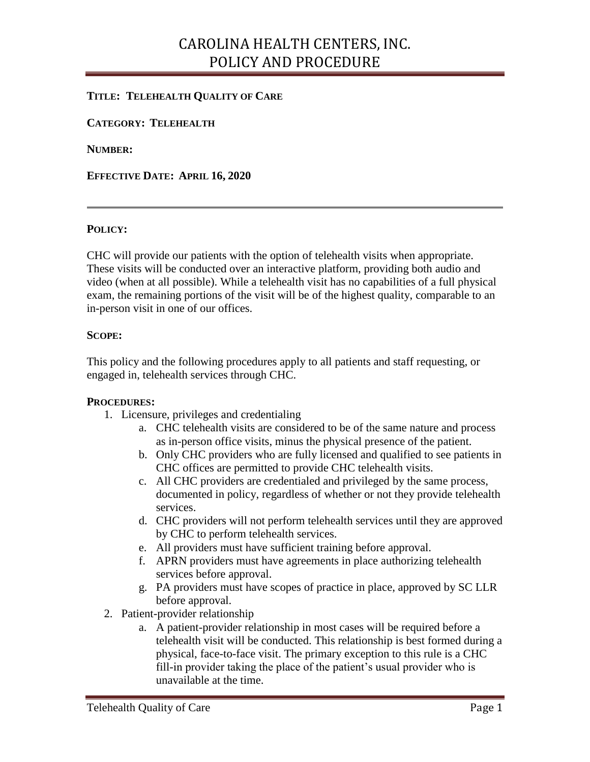### CAROLINA HEALTH CENTERS, INC. POLICY AND PROCEDURE

### **TITLE: TELEHEALTH QUALITY OF CARE**

**CATEGORY: TELEHEALTH**

**NUMBER:** 

**EFFECTIVE DATE: APRIL 16, 2020**

#### **POLICY:**

CHC will provide our patients with the option of telehealth visits when appropriate. These visits will be conducted over an interactive platform, providing both audio and video (when at all possible). While a telehealth visit has no capabilities of a full physical exam, the remaining portions of the visit will be of the highest quality, comparable to an in-person visit in one of our offices.

#### **SCOPE:**

This policy and the following procedures apply to all patients and staff requesting, or engaged in, telehealth services through CHC.

#### **PROCEDURES:**

- 1. Licensure, privileges and credentialing
	- a. CHC telehealth visits are considered to be of the same nature and process as in-person office visits, minus the physical presence of the patient.
	- b. Only CHC providers who are fully licensed and qualified to see patients in CHC offices are permitted to provide CHC telehealth visits.
	- c. All CHC providers are credentialed and privileged by the same process, documented in policy, regardless of whether or not they provide telehealth services.
	- d. CHC providers will not perform telehealth services until they are approved by CHC to perform telehealth services.
	- e. All providers must have sufficient training before approval.
	- f. APRN providers must have agreements in place authorizing telehealth services before approval.
	- g. PA providers must have scopes of practice in place, approved by SC LLR before approval.
- 2. Patient-provider relationship
	- a. A patient-provider relationship in most cases will be required before a telehealth visit will be conducted. This relationship is best formed during a physical, face-to-face visit. The primary exception to this rule is a CHC fill-in provider taking the place of the patient's usual provider who is unavailable at the time.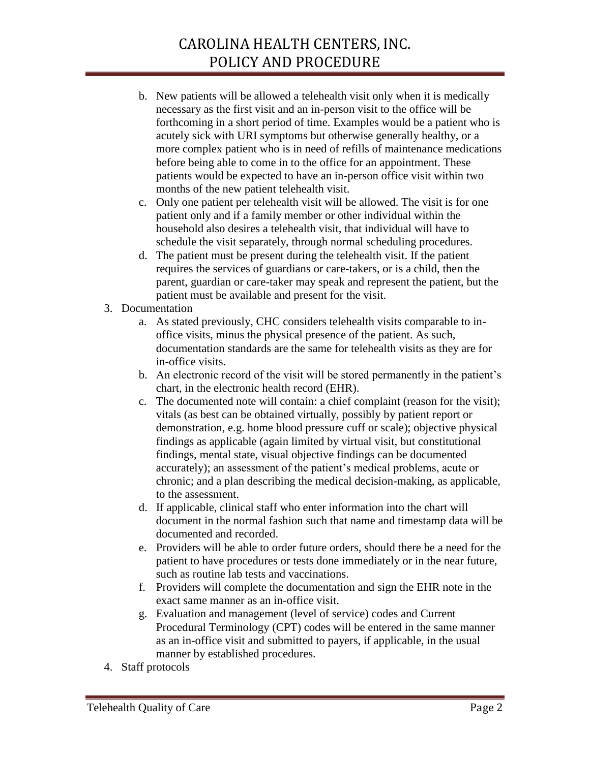# CAROLINA HEALTH CENTERS, INC. POLICY AND PROCEDURE

- b. New patients will be allowed a telehealth visit only when it is medically necessary as the first visit and an in-person visit to the office will be forthcoming in a short period of time. Examples would be a patient who is acutely sick with URI symptoms but otherwise generally healthy, or a more complex patient who is in need of refills of maintenance medications before being able to come in to the office for an appointment. These patients would be expected to have an in-person office visit within two months of the new patient telehealth visit.
- c. Only one patient per telehealth visit will be allowed. The visit is for one patient only and if a family member or other individual within the household also desires a telehealth visit, that individual will have to schedule the visit separately, through normal scheduling procedures.
- d. The patient must be present during the telehealth visit. If the patient requires the services of guardians or care-takers, or is a child, then the parent, guardian or care-taker may speak and represent the patient, but the patient must be available and present for the visit.
- 3. Documentation
	- a. As stated previously, CHC considers telehealth visits comparable to inoffice visits, minus the physical presence of the patient. As such, documentation standards are the same for telehealth visits as they are for in-office visits.
	- b. An electronic record of the visit will be stored permanently in the patient's chart, in the electronic health record (EHR).
	- c. The documented note will contain: a chief complaint (reason for the visit); vitals (as best can be obtained virtually, possibly by patient report or demonstration, e.g. home blood pressure cuff or scale); objective physical findings as applicable (again limited by virtual visit, but constitutional findings, mental state, visual objective findings can be documented accurately); an assessment of the patient's medical problems, acute or chronic; and a plan describing the medical decision-making, as applicable, to the assessment.
	- d. If applicable, clinical staff who enter information into the chart will document in the normal fashion such that name and timestamp data will be documented and recorded.
	- e. Providers will be able to order future orders, should there be a need for the patient to have procedures or tests done immediately or in the near future, such as routine lab tests and vaccinations.
	- f. Providers will complete the documentation and sign the EHR note in the exact same manner as an in-office visit.
	- g. Evaluation and management (level of service) codes and Current Procedural Terminology (CPT) codes will be entered in the same manner as an in-office visit and submitted to payers, if applicable, in the usual manner by established procedures.
- 4. Staff protocols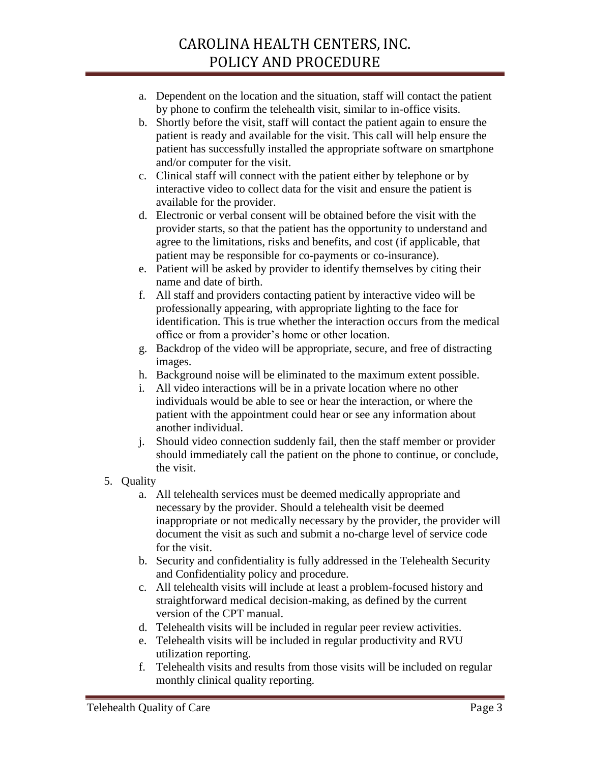# CAROLINA HEALTH CENTERS, INC. POLICY AND PROCEDURE

- a. Dependent on the location and the situation, staff will contact the patient by phone to confirm the telehealth visit, similar to in-office visits.
- b. Shortly before the visit, staff will contact the patient again to ensure the patient is ready and available for the visit. This call will help ensure the patient has successfully installed the appropriate software on smartphone and/or computer for the visit.
- c. Clinical staff will connect with the patient either by telephone or by interactive video to collect data for the visit and ensure the patient is available for the provider.
- d. Electronic or verbal consent will be obtained before the visit with the provider starts, so that the patient has the opportunity to understand and agree to the limitations, risks and benefits, and cost (if applicable, that patient may be responsible for co-payments or co-insurance).
- e. Patient will be asked by provider to identify themselves by citing their name and date of birth.
- f. All staff and providers contacting patient by interactive video will be professionally appearing, with appropriate lighting to the face for identification. This is true whether the interaction occurs from the medical office or from a provider's home or other location.
- g. Backdrop of the video will be appropriate, secure, and free of distracting images.
- h. Background noise will be eliminated to the maximum extent possible.
- i. All video interactions will be in a private location where no other individuals would be able to see or hear the interaction, or where the patient with the appointment could hear or see any information about another individual.
- j. Should video connection suddenly fail, then the staff member or provider should immediately call the patient on the phone to continue, or conclude, the visit.
- 5. Quality
	- a. All telehealth services must be deemed medically appropriate and necessary by the provider. Should a telehealth visit be deemed inappropriate or not medically necessary by the provider, the provider will document the visit as such and submit a no-charge level of service code for the visit.
	- b. Security and confidentiality is fully addressed in the Telehealth Security and Confidentiality policy and procedure.
	- c. All telehealth visits will include at least a problem-focused history and straightforward medical decision-making, as defined by the current version of the CPT manual.
	- d. Telehealth visits will be included in regular peer review activities.
	- e. Telehealth visits will be included in regular productivity and RVU utilization reporting.
	- f. Telehealth visits and results from those visits will be included on regular monthly clinical quality reporting.